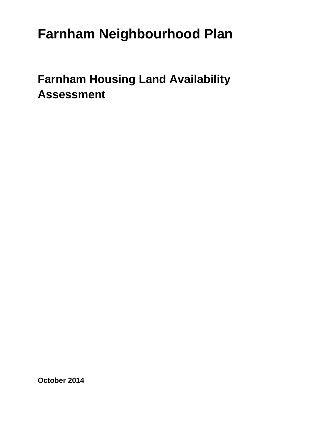# **Farnham Neighbourhood Plan**

# **Farnham Housing Land Availability Assessment**

**October 2014**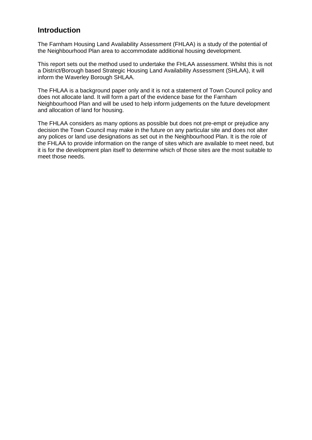# **Introduction**

The Farnham Housing Land Availability Assessment (FHLAA) is a study of the potential of the Neighbourhood Plan area to accommodate additional housing development.

This report sets out the method used to undertake the FHLAA assessment. Whilst this is not a District/Borough based Strategic Housing Land Availability Assessment (SHLAA), it will inform the Waverley Borough SHLAA.

The FHLAA is a background paper only and it is not a statement of Town Council policy and does not allocate land. It will form a part of the evidence base for the Farnham Neighbourhood Plan and will be used to help inform judgements on the future development and allocation of land for housing.

The FHLAA considers as many options as possible but does not pre-empt or prejudice any decision the Town Council may make in the future on any particular site and does not alter any polices or land use designations as set out in the Neighbourhood Plan. It is the role of the FHLAA to provide information on the range of sites which are available to meet need, but it is for the development plan itself to determine which of those sites are the most suitable to meet those needs.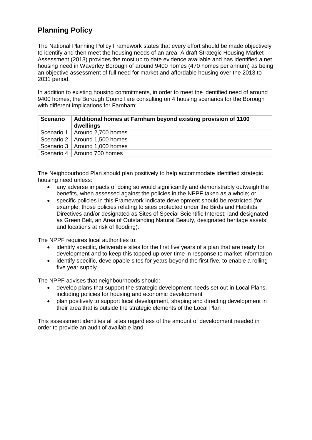# **Planning Policy**

The National Planning Policy Framework states that every effort should be made objectively to identify and then meet the housing needs of an area. A draft Strategic Housing Market Assessment (2013) provides the most up to date evidence available and has identified a net housing need in Waverley Borough of around 9400 homes (470 homes per annum) as being an objective assessment of full need for market and affordable housing over the 2013 to 2031 period.

In addition to existing housing commitments, in order to meet the identified need of around 9400 homes, the Borough Council are consulting on 4 housing scenarios for the Borough with different implications for Farnham:

| <b>Scenario</b> | Additional homes at Farnham beyond existing provision of 1100<br>dwellings |
|-----------------|----------------------------------------------------------------------------|
|                 | Scenario 1   Around 2,700 homes                                            |
|                 | Scenario 2   Around 1,500 homes                                            |
|                 | Scenario 3   Around 1,000 homes                                            |
|                 | Scenario 4   Around 700 homes                                              |

The Neighbourhood Plan should plan positively to help accommodate identified strategic housing need unless:

- any adverse impacts of doing so would significantly and demonstrably outweigh the benefits, when assessed against the policies in the NPPF taken as a whole; or
- specific policies in this Framework indicate development should be restricted (for example, those policies relating to sites protected under the Birds and Habitats Directives and/or designated as Sites of Special Scientific Interest; land designated as Green Belt, an Area of Outstanding Natural Beauty, designated heritage assets; and locations at risk of flooding).

The NPPF requires local authorities to:

- identify specific, deliverable sites for the first five years of a plan that are ready for development and to keep this topped up over-time in response to market information
- identify specific, developable sites for years beyond the first five, to enable a rolling five year supply

The NPPF advises that neighbourhoods should:

- develop plans that support the strategic development needs set out in Local Plans, including policies for housing and economic development
- plan positively to support local development, shaping and directing development in their area that is outside the strategic elements of the Local Plan

This assessment identifies all sites regardless of the amount of development needed in order to provide an audit of available land.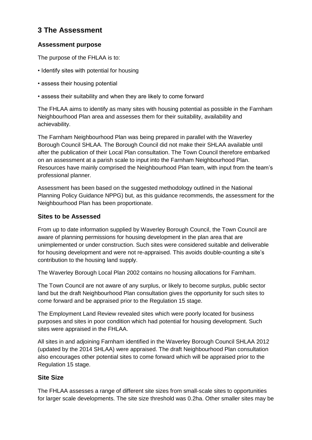# **3 The Assessment**

## **Assessment purpose**

The purpose of the FHLAA is to:

- Identify sites with potential for housing
- assess their housing potential
- assess their suitability and when they are likely to come forward

The FHLAA aims to identify as many sites with housing potential as possible in the Farnham Neighbourhood Plan area and assesses them for their suitability, availability and achievability.

The Farnham Neighbourhood Plan was being prepared in parallel with the Waverley Borough Council SHLAA. The Borough Council did not make their SHLAA available until after the publication of their Local Plan consultation. The Town Council therefore embarked on an assessment at a parish scale to input into the Farnham Neighbourhood Plan. Resources have mainly comprised the Neighbourhood Plan team, with input from the team's professional planner.

Assessment has been based on the suggested methodology outlined in the National Planning Policy Guidance NPPG) but, as this guidance recommends, the assessment for the Neighbourhood Plan has been proportionate.

## **Sites to be Assessed**

From up to date information supplied by Waverley Borough Council, the Town Council are aware of planning permissions for housing development in the plan area that are unimplemented or under construction. Such sites were considered suitable and deliverable for housing development and were not re-appraised. This avoids double-counting a site's contribution to the housing land supply.

The Waverley Borough Local Plan 2002 contains no housing allocations for Farnham.

The Town Council are not aware of any surplus, or likely to become surplus, public sector land but the draft Neighbourhood Plan consultation gives the opportunity for such sites to come forward and be appraised prior to the Regulation 15 stage.

The Employment Land Review revealed sites which were poorly located for business purposes and sites in poor condition which had potential for housing development. Such sites were appraised in the FHLAA.

All sites in and adjoining Farnham identified in the Waverley Borough Council SHLAA 2012 (updated by the 2014 SHLAA) were appraised. The draft Neighbourhood Plan consultation also encourages other potential sites to come forward which will be appraised prior to the Regulation 15 stage.

## **Site Size**

The FHLAA assesses a range of different site sizes from small-scale sites to opportunities for larger scale developments. The site size threshold was 0.2ha. Other smaller sites may be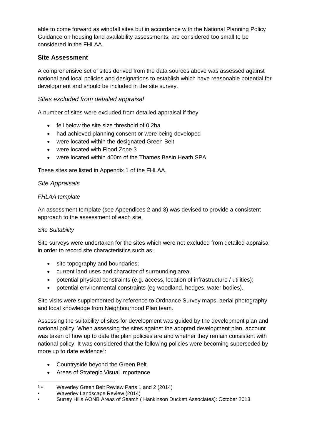able to come forward as windfall sites but in accordance with the National Planning Policy Guidance on housing land availability assessments, are considered too small to be considered in the FHLAA.

## **Site Assessment**

A comprehensive set of sites derived from the data sources above was assessed against national and local policies and designations to establish which have reasonable potential for development and should be included in the site survey.

## *Sites excluded from detailed appraisal*

A number of sites were excluded from detailed appraisal if they

- fell below the site size threshold of 0.2ha
- had achieved planning consent or were being developed
- were located within the designated Green Belt
- were located with Flood Zone 3
- were located within 400m of the Thames Basin Heath SPA

These sites are listed in Appendix 1 of the FHLAA.

#### *Site Appraisals*

## *FHLAA template*

An assessment template (see Appendices 2 and 3) was devised to provide a consistent approach to the assessment of each site.

#### *Site Suitability*

Site surveys were undertaken for the sites which were not excluded from detailed appraisal in order to record site characteristics such as:

- site topography and boundaries;
- current land uses and character of surrounding area;
- potential physical constraints (e.g. access, location of infrastructure / utilities);
- potential environmental constraints (eg woodland, hedges, water bodies).

Site visits were supplemented by reference to Ordnance Survey maps; aerial photography and local knowledge from Neighbourhood Plan team.

Assessing the suitability of sites for development was guided by the development plan and national policy. When assessing the sites against the adopted development plan, account was taken of how up to date the plan policies are and whether they remain consistent with national policy. It was considered that the following policies were becoming superseded by more up to date evidence $1$ :

- Countryside beyond the Green Belt
- Areas of Strategic Visual Importance

<sup>-</sup> $1.1$ • Waverley Green Belt Review Parts 1 and 2 (2014)

<sup>•</sup> Waverley Landscape Review (2014)

<sup>•</sup> Surrey Hills AONB Areas of Search ( Hankinson Duckett Associates): October 2013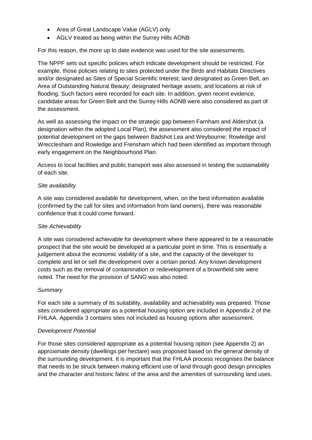- Area of Great Landscape Value (AGLV) only
- AGLV treated as being within the Surrey Hills AONB

For this reason, the more up to date evidence was used for the site assessments.

The NPPF sets out specific policies which indicate development should be restricted. For example, those policies relating to sites protected under the Birds and Habitats Directives and/or designated as Sites of Special Scientific Interest; land designated as Green Belt, an Area of Outstanding Natural Beauty; designated heritage assets; and locations at risk of flooding. Such factors were recorded for each site. In addition, given recent evidence, candidate areas for Green Belt and the Surrey Hills AONB were also considered as part of the assessment.

As well as assessing the impact on the strategic gap between Farnham and Aldershot (a designation within the adopted Local Plan), the assessment also considered the impact of potential development on the gaps between Badshot Lea and Weybourne; Rowledge and Wrecclesham and Rowledge and Frensham which had been identified as important through early engagement on the Neighbourhood Plan.

Access to local facilities and public transport was also assessed in testing the sustainability of each site.

#### *Site availability*

A site was considered available for development, when, on the best information available (confirmed by the call for sites and information from land owners), there was reasonable confidence that it could come forward.

#### *Site Achievability*

A site was considered achievable for development where there appeared to be a reasonable prospect that the site would be developed at a particular point in time. This is essentially a judgement about the economic viability of a site, and the capacity of the developer to complete and let or sell the development over a certain period. Any known development costs such as the removal of contamination or redevelopment of a brownfield site were noted. The need for the provision of SANG was also noted.

#### *Summary*

For each site a summary of its suitability, availability and achievability was prepared. Those sites considered appropriate as a potential housing option are included in Appendix 2 of the FHLAA. Appendix 3 contains sites not included as housing options after assessment.

#### *Development Potential*

For those sites considered appropriate as a potential housing option (see Appendix 2) an approximate density (dwellings per hectare) was proposed based on the general density of the surrounding development. It is important that the FHLAA process recognises the balance that needs to be struck between making efficient use of land through good design principles and the character and historic fabric of the area and the amenities of surrounding land uses.